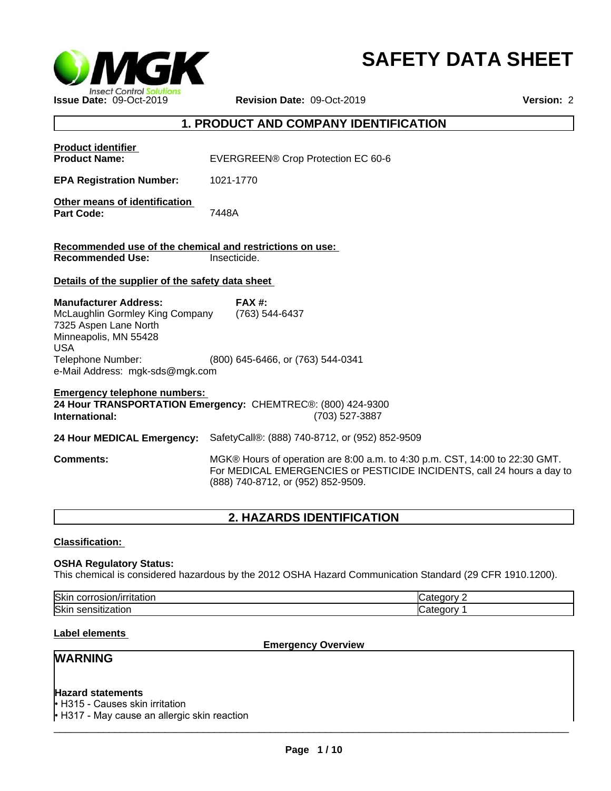

# **SAFETY DATA SHEET**

# **1. PRODUCT AND COMPANY IDENTIFICATION**

| <b>Product identifier</b><br><b>Product Name:</b>                                                                                                                                       | EVERGREEN® Crop Protection EC 60-6                                                                                                                                                          |
|-----------------------------------------------------------------------------------------------------------------------------------------------------------------------------------------|---------------------------------------------------------------------------------------------------------------------------------------------------------------------------------------------|
| <b>EPA Registration Number:</b>                                                                                                                                                         | 1021-1770                                                                                                                                                                                   |
| Other means of identification<br><b>Part Code:</b>                                                                                                                                      | 7448A                                                                                                                                                                                       |
| Recommended use of the chemical and restrictions on use:<br><b>Recommended Use:</b>                                                                                                     | Insecticide.                                                                                                                                                                                |
| Details of the supplier of the safety data sheet                                                                                                                                        |                                                                                                                                                                                             |
| <b>Manufacturer Address:</b><br>McLaughlin Gormley King Company<br>7325 Aspen Lane North<br>Minneapolis, MN 55428<br><b>USA</b><br>Telephone Number:<br>e-Mail Address: mgk-sds@mgk.com | <b>FAX#:</b><br>(763) 544-6437<br>(800) 645-6466, or (763) 544-0341                                                                                                                         |
| <b>Emergency telephone numbers:</b><br>International:                                                                                                                                   | 24 Hour TRANSPORTATION Emergency: CHEMTREC®: (800) 424-9300<br>(703) 527-3887                                                                                                               |
|                                                                                                                                                                                         | 24 Hour MEDICAL Emergency: SafetyCall®: (888) 740-8712, or (952) 852-9509                                                                                                                   |
| <b>Comments:</b>                                                                                                                                                                        | MGK® Hours of operation are 8:00 a.m. to 4:30 p.m. CST, 14:00 to 22:30 GMT.<br>For MEDICAL EMERGENCIES or PESTICIDE INCIDENTS, call 24 hours a day to<br>(888) 740-8712, or (952) 852-9509. |
|                                                                                                                                                                                         |                                                                                                                                                                                             |

# **2. HAZARDS IDENTIFICATION**

**Classification:** 

#### **OSHA Regulatory Status:**

This chemical is considered hazardous by the 2012 OSHA Hazard Communication Standard (29 CFR 1910.1200).

| Skir<br>.<br>папот.<br>COL<br>uau | $-1 - 1$ |
|-----------------------------------|----------|
| Ski<br>auur<br>יה                 |          |

#### **Label elements**

**Emergency Overview**

# **WARNING**

# **Hazard statements**

• H315 - Causes skin irritation  $\cdot$  H317 - May cause an allergic skin reaction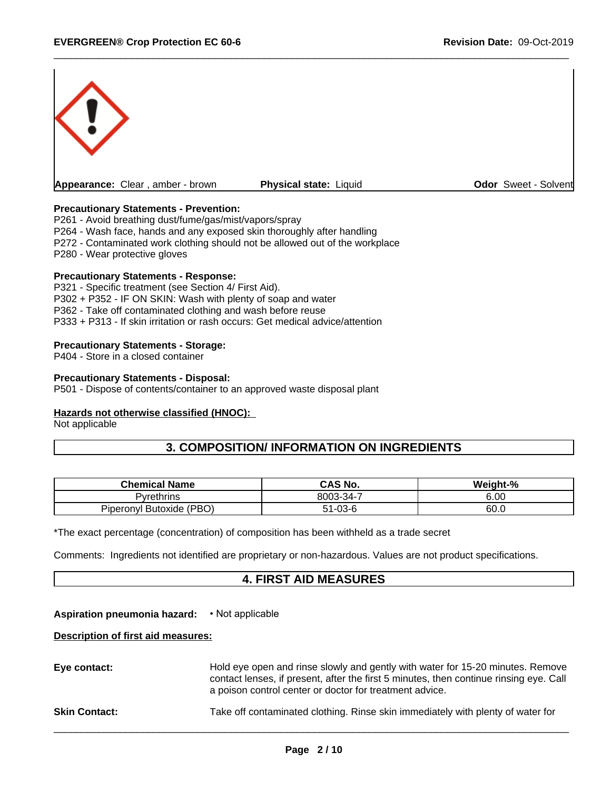

#### **Precautionary Statements - Prevention:**

P261 - Avoid breathing dust/fume/gas/mist/vapors/spray

P264 - Wash face, hands and any exposed skin thoroughly after handling

P272 - Contaminated work clothing should not be allowed out of the workplace

P280 - Wear protective gloves

#### **Precautionary Statements - Response:**

P321 - Specific treatment (see Section 4/ First Aid). P302 + P352 - IF ON SKIN: Wash with plenty of soap and water P362 - Take off contaminated clothing and wash before reuse P333 + P313 - If skin irritation or rash occurs: Get medical advice/attention

#### **Precautionary Statements - Storage:**

P404 - Store in a closed container

#### **Precautionary Statements - Disposal:**

P501 - Dispose of contents/container to an approved waste disposal plant

#### **Hazards not otherwise classified (HNOC):**

Not applicable

# **3. COMPOSITION/ INFORMATION ON INGREDIENTS**

| <b>Chemical Name</b>           | <b>CAS No.</b>                                   | $-$ %<br>Weight- |
|--------------------------------|--------------------------------------------------|------------------|
| 'vrethrins                     | $8003 - 34$ -<br>$\overline{\phantom{a}}$<br>. . | e oc<br>o.uu     |
| (PBO)<br>Butoxide<br>Piperonvl | $\sim$<br>ึบบ                                    | 60.0             |

\*The exact percentage (concentration) of composition has been withheld as a trade secret

Comments: Ingredients not identified are proprietary or non-hazardous. Values are not product specifications.

#### **4. FIRST AID MEASURES**

#### **Aspiration pneumonia hazard:** • Not applicable

#### **Description of first aid measures:**

| Eye contact:         | Hold eye open and rinse slowly and gently with water for 15-20 minutes. Remove<br>contact lenses, if present, after the first 5 minutes, then continue rinsing eye. Call<br>a poison control center or doctor for treatment advice. |
|----------------------|-------------------------------------------------------------------------------------------------------------------------------------------------------------------------------------------------------------------------------------|
| <b>Skin Contact:</b> | Take off contaminated clothing. Rinse skin immediately with plenty of water for                                                                                                                                                     |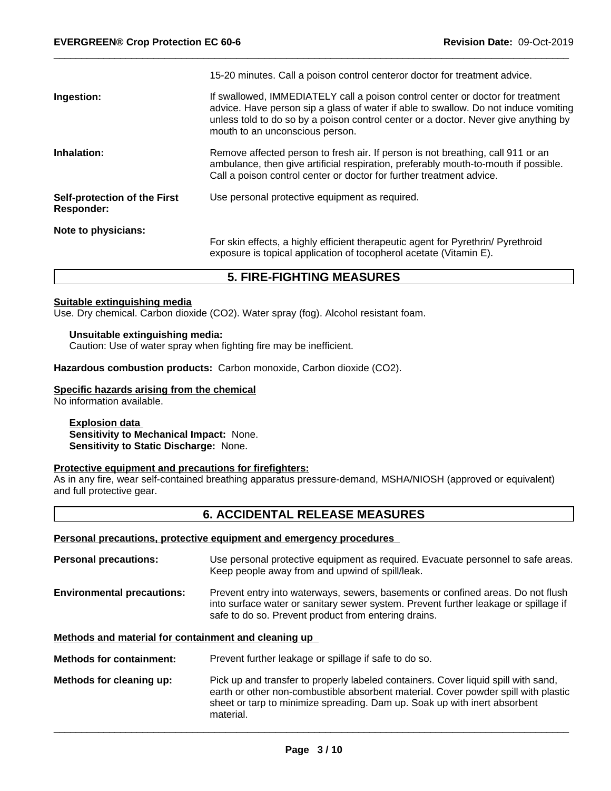|                                                   | 15-20 minutes. Call a poison control centeror doctor for treatment advice.                                                                                                                                                                                                                      |
|---------------------------------------------------|-------------------------------------------------------------------------------------------------------------------------------------------------------------------------------------------------------------------------------------------------------------------------------------------------|
| Ingestion:                                        | If swallowed, IMMEDIATELY call a poison control center or doctor for treatment<br>advice. Have person sip a glass of water if able to swallow. Do not induce vomiting<br>unless told to do so by a poison control center or a doctor. Never give anything by<br>mouth to an unconscious person. |
| Inhalation:                                       | Remove affected person to fresh air. If person is not breathing, call 911 or an<br>ambulance, then give artificial respiration, preferably mouth-to-mouth if possible.<br>Call a poison control center or doctor for further treatment advice.                                                  |
| Self-protection of the First<br><b>Responder:</b> | Use personal protective equipment as required.                                                                                                                                                                                                                                                  |
| Note to physicians:                               | For skin effects, a highly efficient therapeutic agent for Pyrethrin/ Pyrethroid<br>exposure is topical application of tocopherol acetate (Vitamin E).                                                                                                                                          |

# **5. FIRE-FIGHTING MEASURES**

#### **Suitable extinguishing media**

Use. Dry chemical. Carbon dioxide (CO2). Water spray (fog). Alcohol resistant foam.

#### **Unsuitable extinguishing media:**

Caution: Use of water spray when fighting fire may be inefficient.

**Hazardous combustion products:** Carbon monoxide, Carbon dioxide (CO2).

#### **Specific hazards arising from the chemical**

No information available.

#### **Explosion data Sensitivity to Mechanical Impact:** None. **Sensitivity to Static Discharge:** None.

#### **Protective equipment and precautions for firefighters:**

As in any fire, wear self-contained breathing apparatus pressure-demand, MSHA/NIOSH (approved or equivalent) and full protective gear.

# **6. ACCIDENTAL RELEASE MEASURES**

# **Personal precautions, protective equipment and emergency procedures**

material.

| <b>Personal precautions:</b>                         | Use personal protective equipment as required. Evacuate personnel to safe areas.<br>Keep people away from and upwind of spill/leak.                                                                                                                   |  |  |
|------------------------------------------------------|-------------------------------------------------------------------------------------------------------------------------------------------------------------------------------------------------------------------------------------------------------|--|--|
| <b>Environmental precautions:</b>                    | Prevent entry into waterways, sewers, basements or confined areas. Do not flush<br>into surface water or sanitary sewer system. Prevent further leakage or spillage if<br>safe to do so. Prevent product from entering drains.                        |  |  |
| Methods and material for containment and cleaning up |                                                                                                                                                                                                                                                       |  |  |
| <b>Methods for containment:</b>                      | Prevent further leakage or spillage if safe to do so.                                                                                                                                                                                                 |  |  |
| Methods for cleaning up:                             | Pick up and transfer to properly labeled containers. Cover liquid spill with sand,<br>earth or other non-combustible absorbent material. Cover powder spill with plastic<br>sheet or tarp to minimize spreading. Dam up. Soak up with inert absorbent |  |  |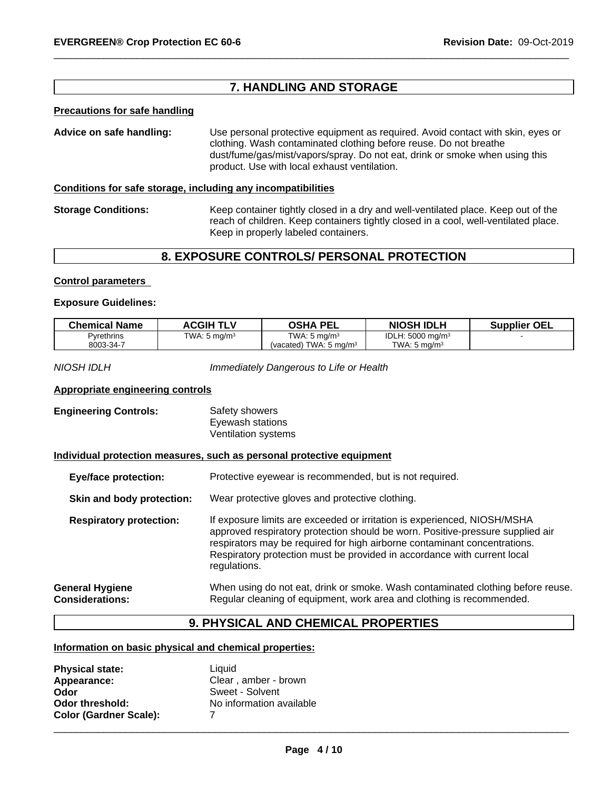# **7. HANDLING AND STORAGE**

#### **Precautions for safe handling**

**Advice on safe handling:** Use personal protective equipment as required.Avoid contact with skin, eyes or clothing. Wash contaminated clothing before reuse. Do not breathe dust/fume/gas/mist/vapors/spray. Do not eat, drink or smoke when using this product. Use with local exhaust ventilation.

#### **Conditions for safe storage, including any incompatibilities**

**Storage Conditions:** Keep container tightly closed in a dry and well-ventilated place. Keep out of the reach of children. Keep containers tightly closed in a cool, well-ventilated place. Keep in properly labeled containers.

#### **8. EXPOSURE CONTROLS/ PERSONAL PROTECTION**

#### **Control parameters**

#### **Exposure Guidelines:**

| <b>Chemical Name</b> | <b>ACGIH TLV</b>        | OSHA PEL                     | <b>NIOSH IDLH</b>           | <b>OEL</b><br>Supplier |
|----------------------|-------------------------|------------------------------|-----------------------------|------------------------|
| Pyrethrins           | TWA: $5 \text{ ma/m}^3$ | TWA: $5 \text{ mg/m}^3$      | IDLH: $5000 \text{ mg/m}^3$ |                        |
| 8003-34-7            |                         | TWA: 5 mg/m $3$<br>(vacated) | TWA: 5 ma/m <sup>3</sup>    |                        |

*NIOSH IDLH Immediately Dangerous to Life or Health*

#### **Appropriate engineering controls**

| <b>Engineering Controls:</b> | Safety showers      |  |
|------------------------------|---------------------|--|
|                              | Eyewash stations    |  |
|                              | Ventilation systems |  |

#### **Individual protection measures, such as personal protective equipment**

| <b>Eye/face protection:</b>                      | Protective eyewear is recommended, but is not required.                                                                                                                                                                                                                                                                             |  |  |
|--------------------------------------------------|-------------------------------------------------------------------------------------------------------------------------------------------------------------------------------------------------------------------------------------------------------------------------------------------------------------------------------------|--|--|
| Skin and body protection:                        | Wear protective gloves and protective clothing.                                                                                                                                                                                                                                                                                     |  |  |
| <b>Respiratory protection:</b>                   | If exposure limits are exceeded or irritation is experienced, NIOSH/MSHA<br>approved respiratory protection should be worn. Positive-pressure supplied air<br>respirators may be required for high airborne contaminant concentrations.<br>Respiratory protection must be provided in accordance with current local<br>regulations. |  |  |
| <b>General Hygiene</b><br><b>Considerations:</b> | When using do not eat, drink or smoke. Wash contaminated clothing before reuse.<br>Regular cleaning of equipment, work area and clothing is recommended.                                                                                                                                                                            |  |  |

#### **9. PHYSICAL AND CHEMICAL PROPERTIES**

#### **Information on basic physical and chemical properties:**

| <b>Physical state:</b>        | Liauid                   |
|-------------------------------|--------------------------|
| Appearance:                   | Clear, amber - brown     |
| Odor                          | Sweet - Solvent          |
| Odor threshold:               | No information available |
| <b>Color (Gardner Scale):</b> |                          |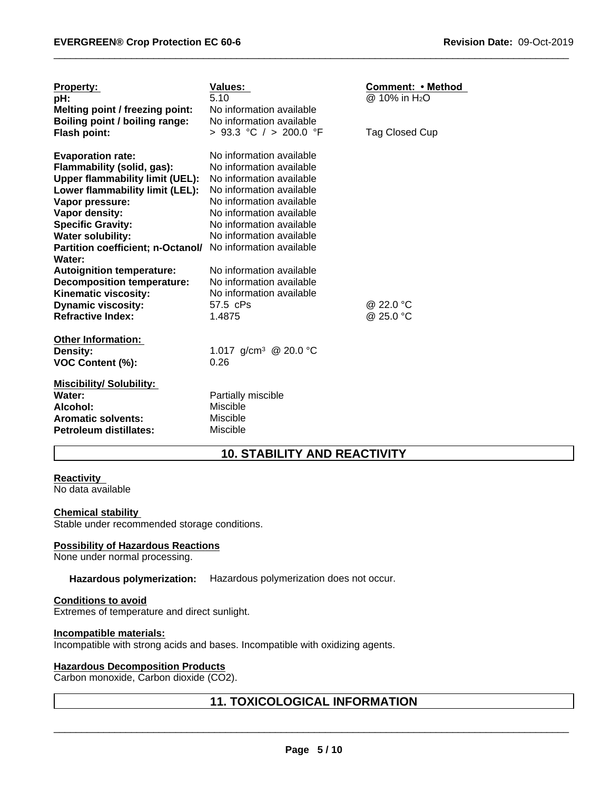| <b>Property:</b><br>pH:<br>Melting point / freezing point:<br>Boiling point / boiling range:<br>Flash point:                                                                                                                                                                                   | <b>Values:</b><br>5.10<br>No information available<br>No information available<br>> 93.3 °C / > 200.0 °F                                                                                                                     | Comment: • Method<br>@ 10% in H <sub>2</sub> O<br>Tag Closed Cup |
|------------------------------------------------------------------------------------------------------------------------------------------------------------------------------------------------------------------------------------------------------------------------------------------------|------------------------------------------------------------------------------------------------------------------------------------------------------------------------------------------------------------------------------|------------------------------------------------------------------|
| <b>Evaporation rate:</b><br>Flammability (solid, gas):<br><b>Upper flammability limit (UEL):</b><br>Lower flammability limit (LEL):<br>Vapor pressure:<br>Vapor density:<br><b>Specific Gravity:</b><br><b>Water solubility:</b><br>Partition coefficient; n-Octanol/ No information available | No information available<br>No information available<br>No information available<br>No information available<br>No information available<br>No information available<br>No information available<br>No information available |                                                                  |
| Water:<br><b>Autoignition temperature:</b><br><b>Decomposition temperature:</b><br>Kinematic viscosity:<br><b>Dynamic viscosity:</b><br><b>Refractive Index:</b>                                                                                                                               | No information available<br>No information available<br>No information available<br>57.5 cPs<br>1.4875                                                                                                                       | @ 22.0 °C<br>@ 25.0 °C                                           |
| <b>Other Information:</b><br>Density:<br>VOC Content (%):                                                                                                                                                                                                                                      | 1.017 g/cm <sup>3</sup> @ 20.0 °C<br>0.26                                                                                                                                                                                    |                                                                  |
| <b>Miscibility/ Solubility:</b><br>Water:<br>Alcohol:<br><b>Aromatic solvents:</b><br>Petroleum distillates:                                                                                                                                                                                   | Partially miscible<br><b>Miscible</b><br>Miscible<br><b>Miscible</b>                                                                                                                                                         |                                                                  |

# **10. STABILITY AND REACTIVITY**

#### **Reactivity**

No data available

#### **Chemical stability**

Stable under recommended storage conditions.

#### **Possibility of Hazardous Reactions**

None under normal processing.

#### **Hazardous polymerization:** Hazardous polymerization does not occur.

#### **Conditions to avoid** Extremes of temperature and direct sunlight.

#### **Incompatible materials:**

Incompatible with strong acids and bases. Incompatible with oxidizing agents.

#### **Hazardous Decomposition Products**

Carbon monoxide, Carbon dioxide (CO2).

# **11. TOXICOLOGICAL INFORMATION**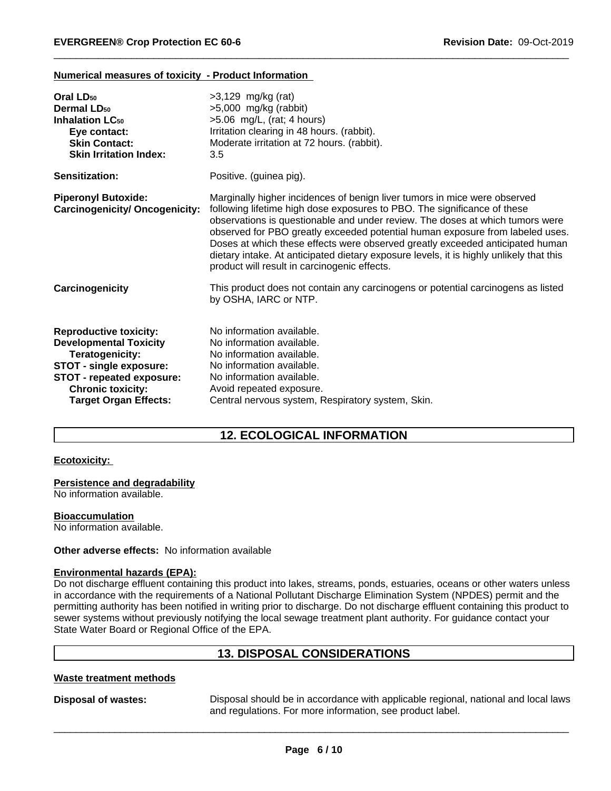#### **Numerical measures of toxicity - Product Information**

| $>5,000$ mg/kg (rabbit)<br>$>5.06$ mg/L, (rat; 4 hours)<br>Irritation clearing in 48 hours. (rabbit).<br>Moderate irritation at 72 hours. (rabbit).<br>3.5                                                                                                                                                                                                                                                                                                                                                                                          |
|-----------------------------------------------------------------------------------------------------------------------------------------------------------------------------------------------------------------------------------------------------------------------------------------------------------------------------------------------------------------------------------------------------------------------------------------------------------------------------------------------------------------------------------------------------|
| Positive. (guinea pig).                                                                                                                                                                                                                                                                                                                                                                                                                                                                                                                             |
| Marginally higher incidences of benign liver tumors in mice were observed<br>following lifetime high dose exposures to PBO. The significance of these<br>observations is questionable and under review. The doses at which tumors were<br>observed for PBO greatly exceeded potential human exposure from labeled uses.<br>Doses at which these effects were observed greatly exceeded anticipated human<br>dietary intake. At anticipated dietary exposure levels, it is highly unlikely that this<br>product will result in carcinogenic effects. |
| This product does not contain any carcinogens or potential carcinogens as listed<br>by OSHA, IARC or NTP.                                                                                                                                                                                                                                                                                                                                                                                                                                           |
| No information available.<br>No information available.<br>No information available.<br>No information available.<br>No information available.<br>Avoid repeated exposure.<br>Central nervous system, Respiratory system, Skin.                                                                                                                                                                                                                                                                                                                      |
| <b>Carcinogenicity/ Oncogenicity:</b>                                                                                                                                                                                                                                                                                                                                                                                                                                                                                                               |

# **12. ECOLOGICAL INFORMATION**

#### **Ecotoxicity:**

#### **Persistence and degradability**

No information available.

**Bioaccumulation**

No information available.

#### **Other adverse effects:** No information available

#### **Environmental hazards (EPA):**

Do not discharge effluent containing this product into lakes, streams, ponds, estuaries, oceans or other waters unless in accordance with the requirements of a National Pollutant Discharge Elimination System (NPDES) permit and the permitting authority has been notified in writing prior to discharge. Do not discharge effluent containing this product to sewer systems without previously notifying the local sewage treatment plant authority. For guidance contact your State Water Board or Regional Office of the EPA.

### **13. DISPOSAL CONSIDERATIONS**

#### **Waste treatment methods**

**Disposal of wastes:** Disposal should be in accordance with applicable regional, national and local laws and regulations. For more information, see product label.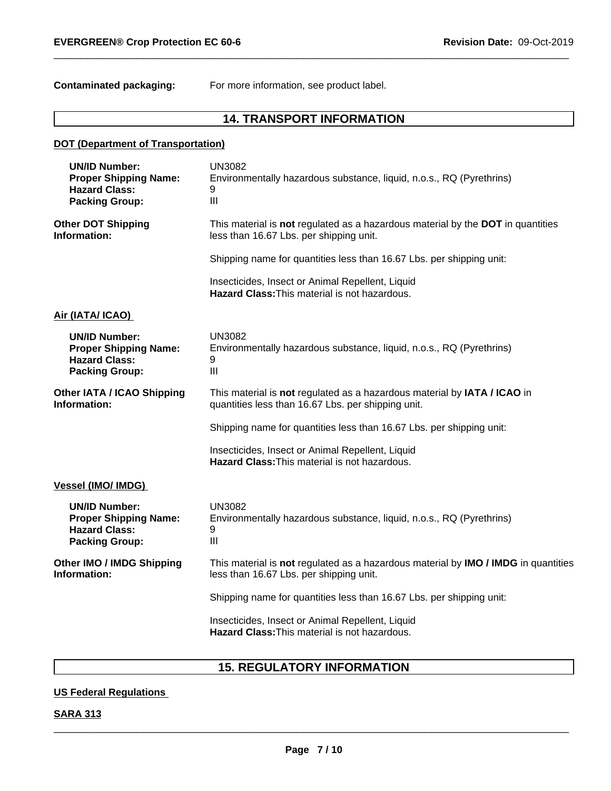**Contaminated packaging:** For more information, see product label.

# **14. TRANSPORT INFORMATION**

| <b>DOT (Department of Transportation)</b>                                                             |                                                                                                                                |
|-------------------------------------------------------------------------------------------------------|--------------------------------------------------------------------------------------------------------------------------------|
| <b>UN/ID Number:</b><br><b>Proper Shipping Name:</b><br><b>Hazard Class:</b><br><b>Packing Group:</b> | <b>UN3082</b><br>Environmentally hazardous substance, liquid, n.o.s., RQ (Pyrethrins)<br>9<br>$\mathbf{III}$                   |
| <b>Other DOT Shipping</b><br>Information:                                                             | This material is not regulated as a hazardous material by the DOT in quantities<br>less than 16.67 Lbs. per shipping unit.     |
|                                                                                                       | Shipping name for quantities less than 16.67 Lbs. per shipping unit:                                                           |
|                                                                                                       | Insecticides, Insect or Animal Repellent, Liquid<br><b>Hazard Class: This material is not hazardous.</b>                       |
| Air (IATA/ ICAO)                                                                                      |                                                                                                                                |
| <b>UN/ID Number:</b><br><b>Proper Shipping Name:</b><br><b>Hazard Class:</b><br><b>Packing Group:</b> | <b>UN3082</b><br>Environmentally hazardous substance, liquid, n.o.s., RQ (Pyrethrins)<br>9<br>III                              |
| <b>Other IATA / ICAO Shipping</b><br>Information:                                                     | This material is not regulated as a hazardous material by IATA / ICAO in<br>quantities less than 16.67 Lbs. per shipping unit. |
|                                                                                                       | Shipping name for quantities less than 16.67 Lbs. per shipping unit:                                                           |
|                                                                                                       | Insecticides, Insect or Animal Repellent, Liquid<br>Hazard Class: This material is not hazardous.                              |
| <b>Vessel (IMO/ IMDG)</b>                                                                             |                                                                                                                                |
| <b>UN/ID Number:</b><br><b>Proper Shipping Name:</b><br><b>Hazard Class:</b><br><b>Packing Group:</b> | <b>UN3082</b><br>Environmentally hazardous substance, liquid, n.o.s., RQ (Pyrethrins)<br>9<br>III                              |
| Other IMO / IMDG Shipping<br>Information:                                                             | This material is not regulated as a hazardous material by IMO / IMDG in quantities<br>less than 16.67 Lbs. per shipping unit.  |
|                                                                                                       | Shipping name for quantities less than 16.67 Lbs. per shipping unit:                                                           |
|                                                                                                       | Insecticides, Insect or Animal Repellent, Liquid<br>Hazard Class: This material is not hazardous.                              |
|                                                                                                       |                                                                                                                                |

# **15. REGULATORY INFORMATION**

# **US Federal Regulations**

# **SARA 313**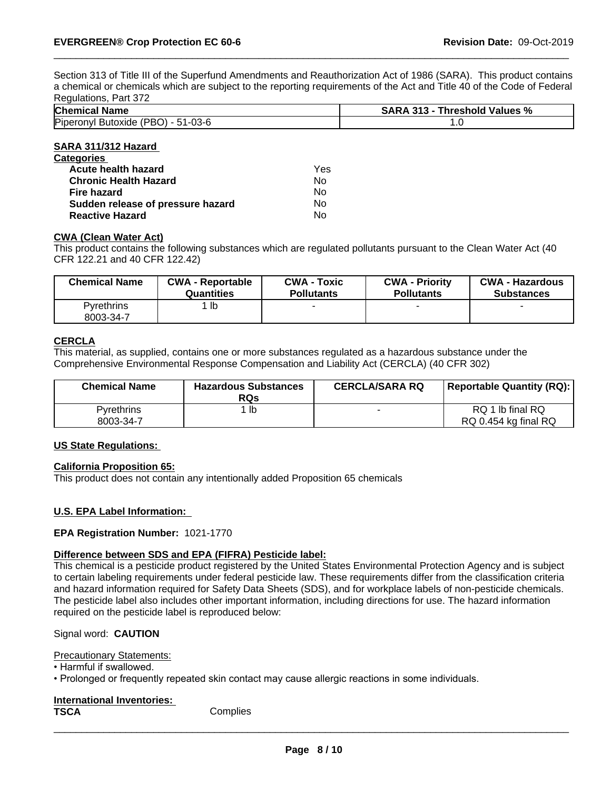Section 313 of Title III of the Superfund Amendments and Reauthorization Act of 1986 (SARA). This product contains a chemical or chemicals which are subject to the reporting requirements of the Act and Title 40 of the Code of Federal Regulations, Part 372

| nvyulululu,<br><b>UIL JIL</b>                     |                                    |  |
|---------------------------------------------------|------------------------------------|--|
| <b>Chemical Name</b>                              | SARA<br>Threshold Values %<br>.313 |  |
| Piperonyl<br>(PBO<br>ጋ) - 51-03-6<br>' Butoxide . | . .                                |  |

#### **SARA 311/312 Hazard**

| <b>Categories</b>                 |     |  |
|-----------------------------------|-----|--|
| Acute health hazard               | Yes |  |
| <b>Chronic Health Hazard</b>      | Nο  |  |
| Fire hazard                       | Nο  |  |
| Sudden release of pressure hazard | No  |  |
| <b>Reactive Hazard</b>            | No  |  |

#### **CWA (Clean Water Act)**

This product contains the following substances which are regulated pollutants pursuant to the Clean Water Act (40 CFR 122.21 and 40 CFR 122.42)

| <b>Chemical Name</b>           | <b>CWA - Reportable</b> | <b>CWA - Toxic</b> | <b>CWA - Priority</b> | <b>CWA - Hazardous</b> |
|--------------------------------|-------------------------|--------------------|-----------------------|------------------------|
|                                | Quantities              | <b>Pollutants</b>  | <b>Pollutants</b>     | <b>Substances</b>      |
| <b>Pyrethrins</b><br>8003-34-7 | lb                      |                    |                       |                        |

#### **CERCLA**

This material, as supplied, contains one or more substances regulated as a hazardous substance under the Comprehensive Environmental Response Compensation and Liability Act (CERCLA) (40 CFR 302)

| <b>Chemical Name</b>           | <b>Hazardous Substances</b><br><b>RQs</b> | <b>CERCLA/SARA RQ</b> | Reportable Quantity (RQ):                |
|--------------------------------|-------------------------------------------|-----------------------|------------------------------------------|
| <b>Pyrethrins</b><br>8003-34-7 | lb                                        |                       | RQ 1 lb final RQ<br>RQ 0.454 kg final RQ |

#### **US State Regulations:**

#### **California Proposition 65:**

This product does not contain any intentionally added Proposition 65 chemicals

#### **U.S. EPA Label Information:**

#### **EPA Registration Number:** 1021-1770

#### **Difference between SDS and EPA (FIFRA) Pesticide label:**

This chemical is a pesticide product registered by the United States Environmental Protection Agency and is subject to certain labeling requirements under federal pesticide law. These requirements differ from the classification criteria and hazard information required for Safety Data Sheets (SDS), and for workplace labels of non-pesticide chemicals. The pesticide label also includes other important information, including directions for use. The hazard information required on the pesticide label is reproduced below:

#### Signal word: **CAUTION**

Precautionary Statements:

• Harmful if swallowed.

• Prolonged or frequently repeated skin contact may cause allergic reactions in some individuals.

| International Inventories: |          |  |
|----------------------------|----------|--|
| <b>TSCA</b>                | Complies |  |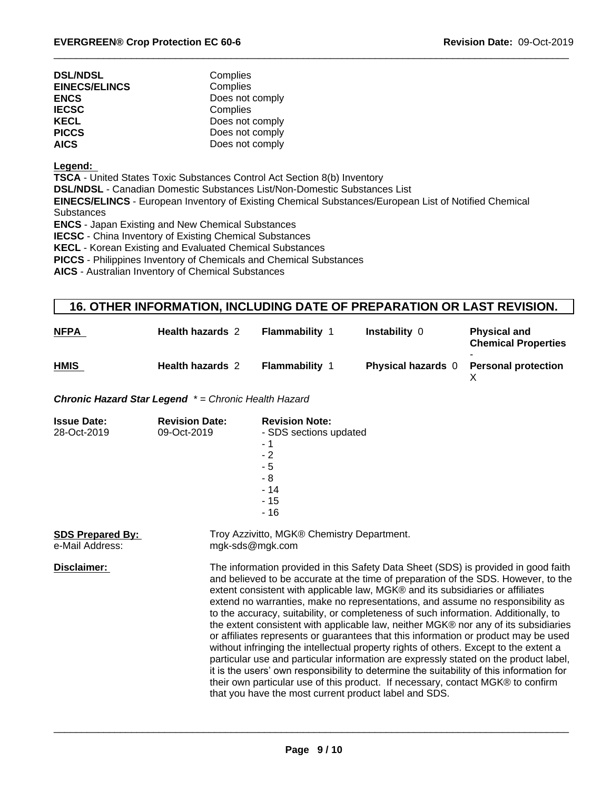| <b>DSL/NDSL</b>      | Complies        |  |
|----------------------|-----------------|--|
| <b>EINECS/ELINCS</b> | Complies        |  |
| <b>ENCS</b>          | Does not comply |  |
| <b>IECSC</b>         | Complies        |  |
| KECL                 | Does not comply |  |
| <b>PICCS</b>         | Does not comply |  |
| <b>AICS</b>          | Does not comply |  |

**Legend:** 

**TSCA** - United States Toxic Substances Control Act Section 8(b) Inventory

**DSL/NDSL** - Canadian Domestic Substances List/Non-Domestic Substances List

**EINECS/ELINCS** - European Inventory of Existing Chemical Substances/European List of Notified Chemical **Substances** 

**ENCS** - Japan Existing and New Chemical Substances

**IECSC** - China Inventory of Existing Chemical Substances

**KECL** - Korean Existing and Evaluated Chemical Substances

**PICCS** - Philippines Inventory of Chemicals and Chemical Substances

**AICS** - Australian Inventory of Chemical Substances

# **16. OTHER INFORMATION, INCLUDING DATE OF PREPARATION OR LAST REVISION.**

| <b>NFPA</b> | <b>Health hazards 2</b> | <b>Flammability</b> | Instability 0             | <b>Physical and</b><br><b>Chemical Properties</b> |
|-------------|-------------------------|---------------------|---------------------------|---------------------------------------------------|
| <b>HMIS</b> | <b>Health hazards 2</b> | <b>Flammability</b> | <b>Physical hazards</b> 0 | <b>Personal protection</b>                        |

*Chronic Hazard Star Legend \* = Chronic Health Hazard*

| <b>Issue Date:</b><br>28-Oct-2019          | <b>Revision Date:</b><br>09-Oct-2019 | <b>Revision Note:</b><br>- SDS sections updated<br>- 1<br>$-2$<br>$-5$<br>$-8$<br>$-14$<br>$-15$<br>- 16                                                                                                                                                                                                                                                                                                                                                                                                                                                                                                                                                                                                                                                                                                                                                                                                                                                                                                                                   |  |
|--------------------------------------------|--------------------------------------|--------------------------------------------------------------------------------------------------------------------------------------------------------------------------------------------------------------------------------------------------------------------------------------------------------------------------------------------------------------------------------------------------------------------------------------------------------------------------------------------------------------------------------------------------------------------------------------------------------------------------------------------------------------------------------------------------------------------------------------------------------------------------------------------------------------------------------------------------------------------------------------------------------------------------------------------------------------------------------------------------------------------------------------------|--|
| <b>SDS Prepared By:</b><br>e-Mail Address: |                                      | Troy Azzivitto, MGK® Chemistry Department.<br>mgk-sds@mgk.com                                                                                                                                                                                                                                                                                                                                                                                                                                                                                                                                                                                                                                                                                                                                                                                                                                                                                                                                                                              |  |
| Disclaimer:                                |                                      | The information provided in this Safety Data Sheet (SDS) is provided in good faith<br>and believed to be accurate at the time of preparation of the SDS. However, to the<br>extent consistent with applicable law, MGK® and its subsidiaries or affiliates<br>extend no warranties, make no representations, and assume no responsibility as<br>to the accuracy, suitability, or completeness of such information. Additionally, to<br>the extent consistent with applicable law, neither MGK® nor any of its subsidiaries<br>or affiliates represents or guarantees that this information or product may be used<br>without infringing the intellectual property rights of others. Except to the extent a<br>particular use and particular information are expressly stated on the product label,<br>it is the users' own responsibility to determine the suitability of this information for<br>their own particular use of this product. If necessary, contact MGK® to confirm<br>that you have the most current product label and SDS. |  |